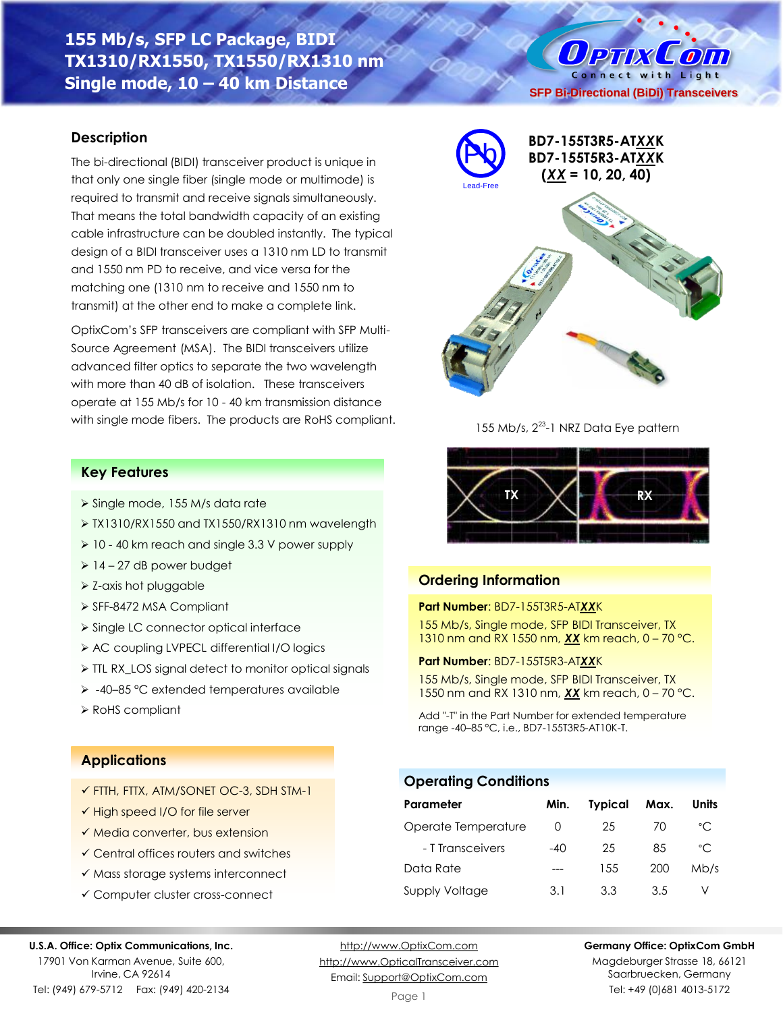# **155 Mb/s, SFP LC Package, BIDI TX1310/RX1550, TX1550/RX1310 nm Single mode, 10 – 40 km Distance**

## **Description**

The bi-directional (BIDI) transceiver product is unique in that only one single fiber (single mode or multimode) is required to transmit and receive signals simultaneously. That means the total bandwidth capacity of an existing cable infrastructure can be doubled instantly. The typical design of a BIDI transceiver uses a 1310 nm LD to transmit and 1550 nm PD to receive, and vice versa for the matching one (1310 nm to receive and 1550 nm to transmit) at the other end to make a complete link.

OptixCom's SFP transceivers are compliant with SFP Multi-Source Agreement (MSA). The BIDI transceivers utilize advanced filter optics to separate the two wavelength with more than 40 dB of isolation. These transceivers operate at 155 Mb/s for 10 - 40 km transmission distance with single mode fibers. The products are RoHS compliant.

## **Key Features**

- ➢ Single mode, 155 M/s data rate
- ➢ TX1310/RX1550 and TX1550/RX1310 nm wavelength
- ➢ 10 40 km reach and single 3.3 V power supply
- $\geq 14 27$  dB power budget
- ➢ Z-axis hot pluggable
- ➢ SFF-8472 MSA Compliant
- ➢ Single LC connector optical interface
- ➢ AC coupling LVPECL differential I/O logics
- ➢ TTL RX\_LOS signal detect to monitor optical signals
- ➢ -40–85 °C extended temperatures available
- ➢ RoHS compliant

## **Applications**

- ✓ FTTH, FTTX, ATM/SONET OC-3, SDH STM-1
- ✓ High speed I/O for file server
- ✓ Media converter, bus extension
- ✓ Central offices routers and switches
- ✓ Mass storage systems interconnect
- ✓ Computer cluster cross-connect

#### **U.S.A. Office: Optix Communications, Inc.**

17901 Von Karman Avenue, Suite 600, Irvine, CA 92614 Tel: (949) 679-5712 Fax: (949) 420-2134

[http://www.OptixCom.com](http://www.optixcom.com/) [http://www.OpticalTransceiver.com](http://www.optoictech.com/) Email: [Support@OptixCom.com](mailto:Support@optoICtech.com)



Magdeburger Strasse 18, 66121 Saarbruecken, Germany Tel: +49 (0)681 4013-5172



O PTIX COIN Connect with Light

155 Mb/s, 2<sup>23</sup>-1 NRZ Data Eye pattern



### **Ordering Information**

**Part Number**: BD7-155T3R5-AT*XX*K 155 Mb/s, Single mode, SFP BIDI Transceiver, TX 1310 nm and RX 1550 nm, *XX* km reach, 0 – 70 °C.

**Part Number**: BD7-155T5R3-AT*XX*K

155 Mb/s, Single mode, SFP BIDI Transceiver, TX 1550 nm and RX 1310 nm, *XX* km reach, 0 – 70 °C.

Add "-T" in the Part Number for extended temperature range -40–85 °C, i.e., BD7-155T3R5-AT10K-T.

### **Operating Conditions**

| Parameter           | Min.             | <b>Typical</b> | Max. | Units        |
|---------------------|------------------|----------------|------|--------------|
| Operate Temperature | $\left( \right)$ | 25             | 70   | $^{\circ}$ C |
| - T Transceivers    | $-40$            | 25             | 85   | $^{\circ}$ C |
| Data Rate           |                  | 1.5.5          | 200  | Mb/s         |
| Supply Voltage      | 3.1              | 33             | 35   |              |

Page 1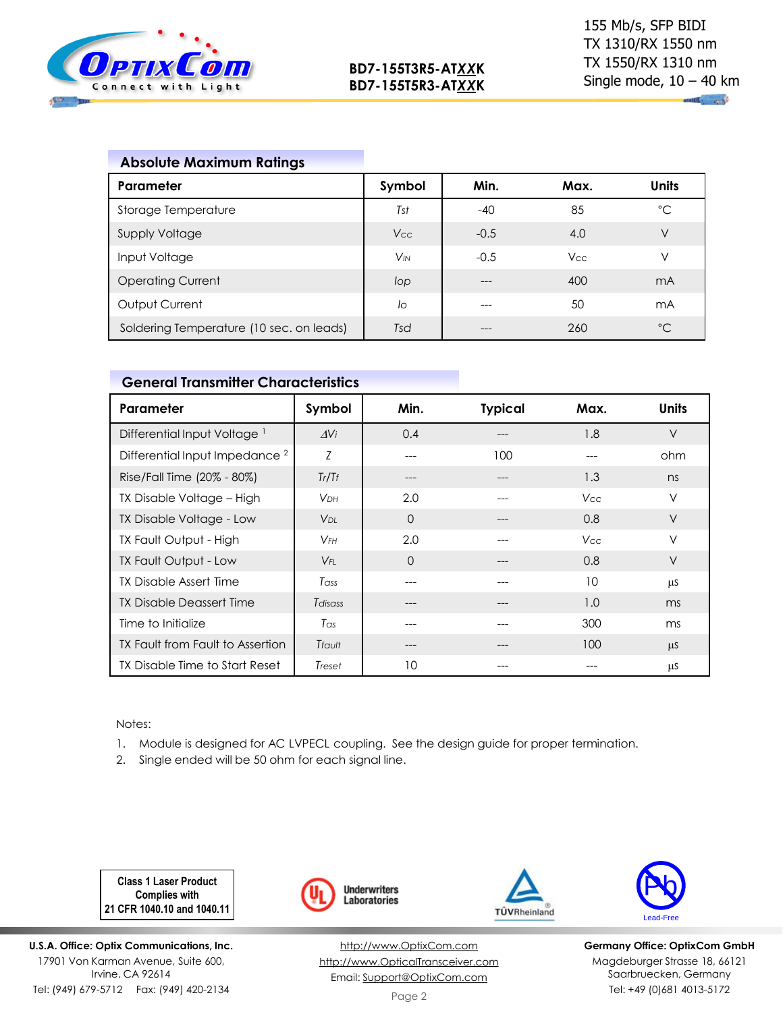

 $\mathbb{R}$  and

## **Absolute Maximum Ratings**

| Parameter                                | Symbol   | Min.   | Max.       | <b>Units</b> |
|------------------------------------------|----------|--------|------------|--------------|
| Storage Temperature                      | Tst      | $-40$  | 85         | °C           |
| <b>Supply Voltage</b>                    | Vcc      | $-0.5$ | 4.0        | V            |
| Input Voltage                            | $V_{IN}$ | $-0.5$ | <b>Vcc</b> | V            |
| <b>Operating Current</b>                 | lop      | $---$  | 400        | mA           |
| Output Current                           | lo       | $---$  | 50         | mA           |
| Soldering Temperature (10 sec. on leads) | Tsd      |        | 260        | $^{\circ}$ C |

## **General Transmitter Characteristics**

| Parameter                                 | Symbol                 | Min. | <b>Typical</b> | Max.            | <b>Units</b> |
|-------------------------------------------|------------------------|------|----------------|-----------------|--------------|
| Differential Input Voltage <sup>1</sup>   | $\Delta V_i$           | 0.4  |                | 1.8             | $\vee$       |
| Differential Input Impedance <sup>2</sup> | Ζ                      | ---  | 100            |                 | ohm          |
| Rise/Fall Time (20% - 80%)                | Tr/Tr                  |      |                | 1.3             | ns           |
| TX Disable Voltage - High                 | <b>V</b> <sub>DН</sub> | 2.0  | ---            | V <sub>cc</sub> | $\vee$       |
| TX Disable Voltage - Low                  | V <sub>DI</sub>        | 0    |                | 0.8             | V            |
| TX Fault Output - High                    | $V_{FH}$               | 2.0  |                | Vcc.            | V            |
| TX Fault Output - Low                     | $V_{FL}$               | 0    |                | 0.8             | $\vee$       |
| <b>TX Disable Assert Time</b>             | Tass                   |      | ---            | 10              | μS           |
| TX Disable Deassert Time                  | Tdisass                | ---  | ---            | 1.0             | ms           |
| Time to Initialize                        | Tas                    |      |                | 300             | ms           |
| TX Fault from Fault to Assertion          | Tfault                 | ---  |                | 100             | μS           |
| TX Disable Time to Start Reset            | Treset                 | 10   |                |                 | μS           |

#### Notes:

1. Module is designed for AC LVPECL coupling. See the design guide for proper termination.

2. Single ended will be 50 ohm for each signal line.

**Class 1 Laser Product Complies with 21 CFR 1040.10 and 1040.11**

**U.S.A. Office: Optix Communications, Inc.** 17901 Von Karman Avenue, Suite 600, Irvine, CA 92614 Tel: (949) 679-5712 Fax: (949) 420-2134



[http://www.OptixCom.com](http://www.optixcom.com/) [http://www.OpticalTransceiver.com](http://www.optoictech.com/) Email: [Support@OptixCom.com](mailto:Support@optoICtech.com)





**Germany Office: OptixCom GmbH** Magdeburger Strasse 18, 66121 Saarbruecken, Germany Tel: +49 (0)681 4013-5172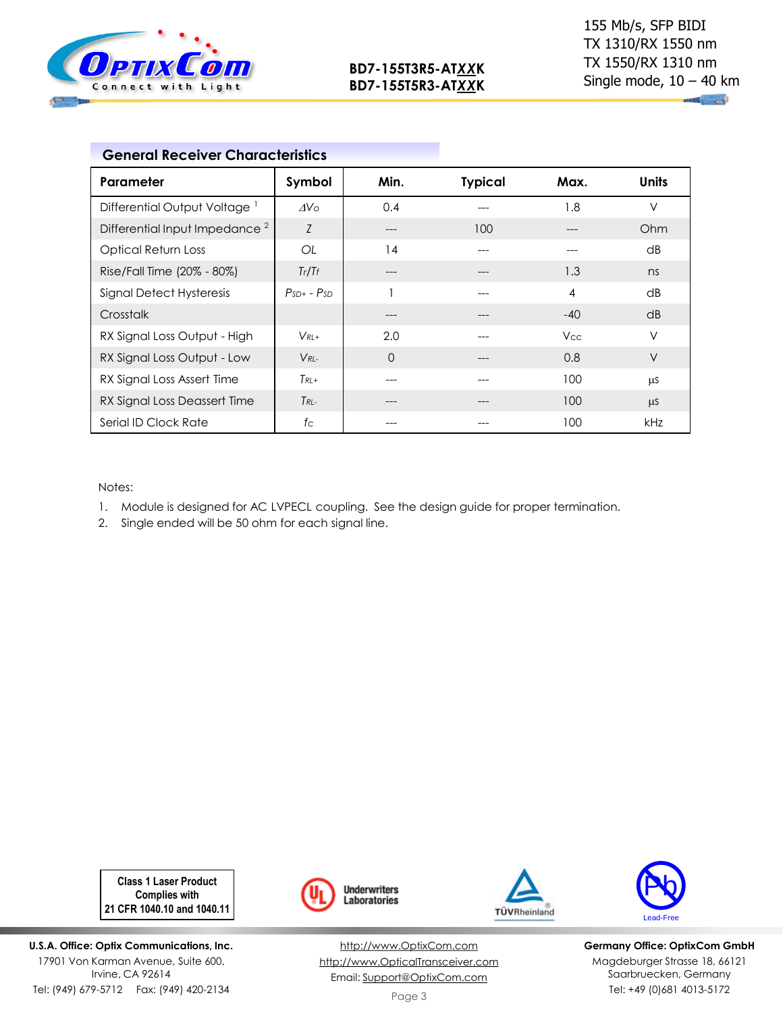

| <b>General Receiver Characteristics</b>   |                  |          |                |            |        |
|-------------------------------------------|------------------|----------|----------------|------------|--------|
| Parameter                                 | Symbol           | Min.     | <b>Typical</b> | Max.       | Units  |
| Differential Output Voltage <sup>1</sup>  | $\Delta V \circ$ | 0.4      | ---            | 1.8        | $\vee$ |
| Differential Input Impedance <sup>2</sup> | Z                | $---$    | 100            | ---        | Ohm    |
| <b>Optical Return Loss</b>                | OL               | 14       |                | ---        | dB     |
| Rise/Fall Time (20% - 80%)                | Tr/Tr            | ---      |                | 1.3        | ns     |
| <b>Signal Detect Hysteresis</b>           | $PsD+ - PsD$     |          |                | 4          | dB     |
| Crosstalk                                 |                  |          |                | $-40$      | dB     |
| RX Signal Loss Output - High              | $V_{RL+}$        | 2.0      |                | <b>Vcc</b> | $\vee$ |
| RX Signal Loss Output - Low               | $V_{RL}$         | $\Omega$ | ---            | 0.8        | $\vee$ |
| RX Signal Loss Assert Time                | $Tk+$            |          |                | 100        | μS     |
| RX Signal Loss Deassert Time              | $T_{RL-}$        |          |                | 100        | μS     |
| Serial ID Clock Rate                      | $f_{\rm C}$      |          |                | 100        | kHz    |

Notes:

1. Module is designed for AC LVPECL coupling. See the design guide for proper termination.

2. Single ended will be 50 ohm for each signal line.

**Class 1 Laser Product Complies with 21 CFR 1040.10 and 1040.11**

**U.S.A. Office: Optix Communications, Inc.** 17901 Von Karman Avenue, Suite 600, Irvine, CA 92614 Tel: (949) 679-5712 Fax: (949) 420-2134



[http://www.OptixCom.com](http://www.optixcom.com/) [http://www.OpticalTransceiver.com](http://www.optoictech.com/) Email: [Support@OptixCom.com](mailto:Support@optoICtech.com)





**Germany Office: OptixCom GmbH** Magdeburger Strasse 18, 66121 Saarbruecken, Germany Tel: +49 (0)681 4013-5172